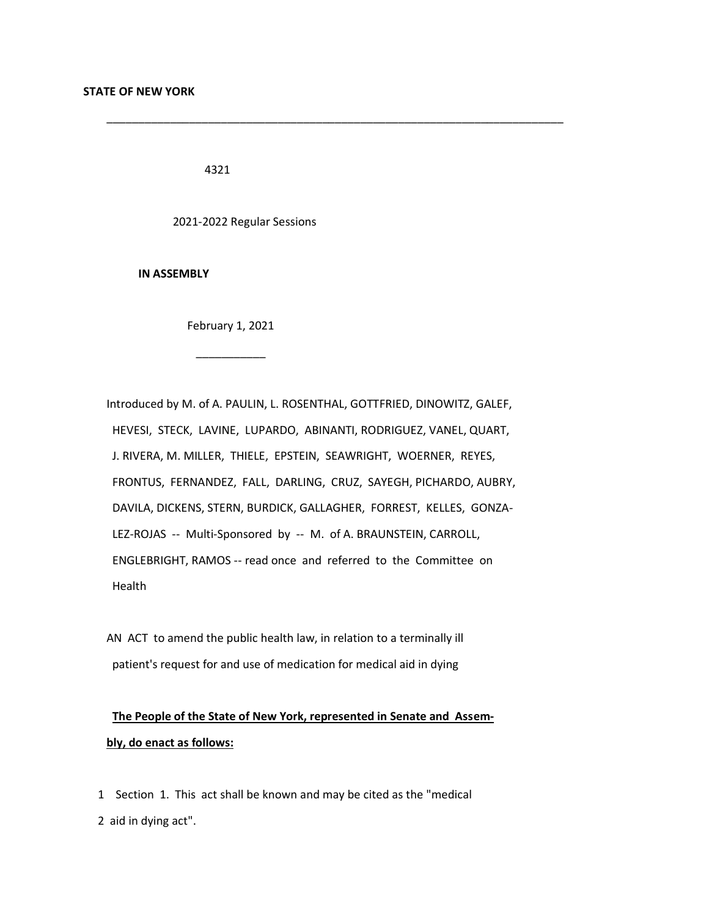4321

2021-2022 Regular Sessions

 **IN ASSEMBLY**

 $\overline{\phantom{a}}$  ,  $\overline{\phantom{a}}$  ,  $\overline{\phantom{a}}$  ,  $\overline{\phantom{a}}$  ,  $\overline{\phantom{a}}$  ,  $\overline{\phantom{a}}$  ,  $\overline{\phantom{a}}$  ,  $\overline{\phantom{a}}$  ,  $\overline{\phantom{a}}$  ,  $\overline{\phantom{a}}$  ,  $\overline{\phantom{a}}$  ,  $\overline{\phantom{a}}$  ,  $\overline{\phantom{a}}$  ,  $\overline{\phantom{a}}$  ,  $\overline{\phantom{a}}$  ,  $\overline{\phantom{a}}$ 

February 1, 2021

 Introduced by M. of A. PAULIN, L. ROSENTHAL, GOTTFRIED, DINOWITZ, GALEF, HEVESI, STECK, LAVINE, LUPARDO, ABINANTI, RODRIGUEZ, VANEL, QUART, J. RIVERA, M. MILLER, THIELE, EPSTEIN, SEAWRIGHT, WOERNER, REYES, FRONTUS, FERNANDEZ, FALL, DARLING, CRUZ, SAYEGH, PICHARDO, AUBRY, DAVILA, DICKENS, STERN, BURDICK, GALLAGHER, FORREST, KELLES, GONZA- LEZ-ROJAS -- Multi-Sponsored by -- M. of A. BRAUNSTEIN, CARROLL, ENGLEBRIGHT, RAMOS -- read once and referred to the Committee on Health

\_\_\_\_\_\_\_\_\_\_\_\_\_\_\_\_\_\_\_\_\_\_\_\_\_\_\_\_\_\_\_\_\_\_\_\_\_\_\_\_\_\_\_\_\_\_\_\_\_\_\_\_\_\_\_\_\_\_\_\_\_\_\_\_\_\_\_\_\_\_\_\_

 AN ACT to amend the public health law, in relation to a terminally ill patient's request for and use of medication for medical aid in dying

 **The People of the State of New York, represented in Senate and Assem bly, do enact as follows:**

 1 Section 1. This act shall be known and may be cited as the "medical 2 aid in dying act".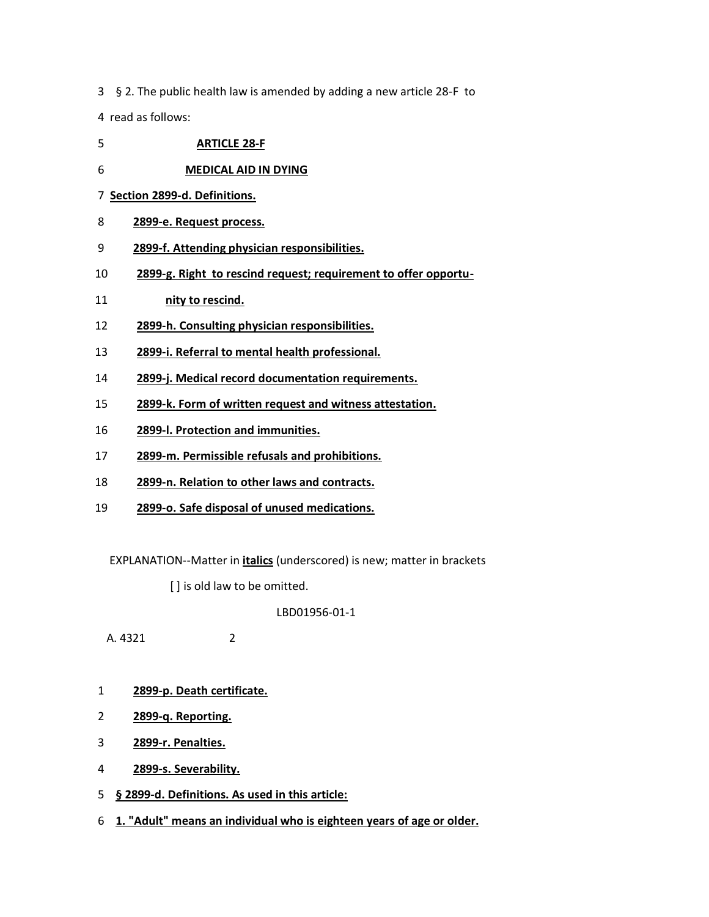3 § 2. The public health law is amended by adding a new article 28-F to

4 read as follows:

- **ARTICLE 28-F**
- **MEDICAL AID IN DYING**
- **Section 2899-d. Definitions.**
- **2899-e. Request process.**
- **2899-f. Attending physician responsibilities.**
- **2899-g. Right to rescind request; requirement to offer opportu-**
- **nity to rescind.**
- **2899-h. Consulting physician responsibilities.**
- **2899-i. Referral to mental health professional.**
- **2899-j. Medical record documentation requirements.**
- **2899-k. Form of written request and witness attestation.**
- **2899-l. Protection and immunities.**
- **2899-m. Permissible refusals and prohibitions.**
- **2899-n. Relation to other laws and contracts.**
- **2899-o. Safe disposal of unused medications.**

EXPLANATION--Matter in **italics** (underscored) is new; matter in brackets

[] is old law to be omitted.

LBD01956-01-1

A. 4321 2

- **2899-p. Death certificate.**
- **2899-q. Reporting.**
- **2899-r. Penalties.**
- **2899-s. Severability.**
- **§ 2899-d. Definitions. As used in this article:**
- **1. "Adult" means an individual who is eighteen years of age or older.**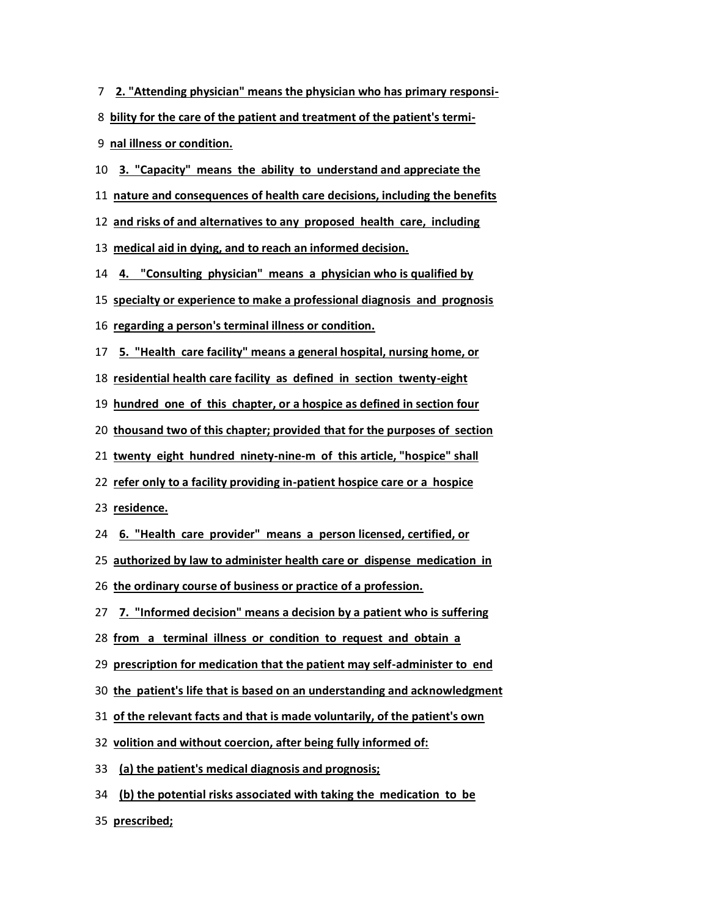- **2. "Attending physician" means the physician who has primary responsi-**
- **bility for the care of the patient and treatment of the patient's termi-**
- **nal illness or condition.**
- **3. "Capacity" means the ability to understand and appreciate the**
- **nature and consequences of health care decisions, including the benefits**
- **and risks of and alternatives to any proposed health care, including**

**medical aid in dying, and to reach an informed decision.**

**4. "Consulting physician" means a physician who is qualified by**

**specialty or experience to make a professional diagnosis and prognosis**

- **regarding a person's terminal illness or condition.**
- **5. "Health care facility" means a general hospital, nursing home, or**
- **residential health care facility as defined in section twenty-eight**

**hundred one of this chapter, or a hospice as defined in section four**

**thousand two of this chapter; provided that for the purposes of section**

**twenty eight hundred ninety-nine-m of this article, "hospice" shall**

**refer only to a facility providing in-patient hospice care or a hospice**

**residence.**

**6. "Health care provider" means a person licensed, certified, or**

**authorized by law to administer health care or dispense medication in**

**the ordinary course of business or practice of a profession.**

**7. "Informed decision" means a decision by a patient who is suffering**

**from a terminal illness or condition to request and obtain a**

**prescription for medication that the patient may self-administer to end**

- **the patient's life that is based on an understanding and acknowledgment**
- **of the relevant facts and that is made voluntarily, of the patient's own**

**volition and without coercion, after being fully informed of:**

- **(a) the patient's medical diagnosis and prognosis;**
- **(b) the potential risks associated with taking the medication to be**

**prescribed;**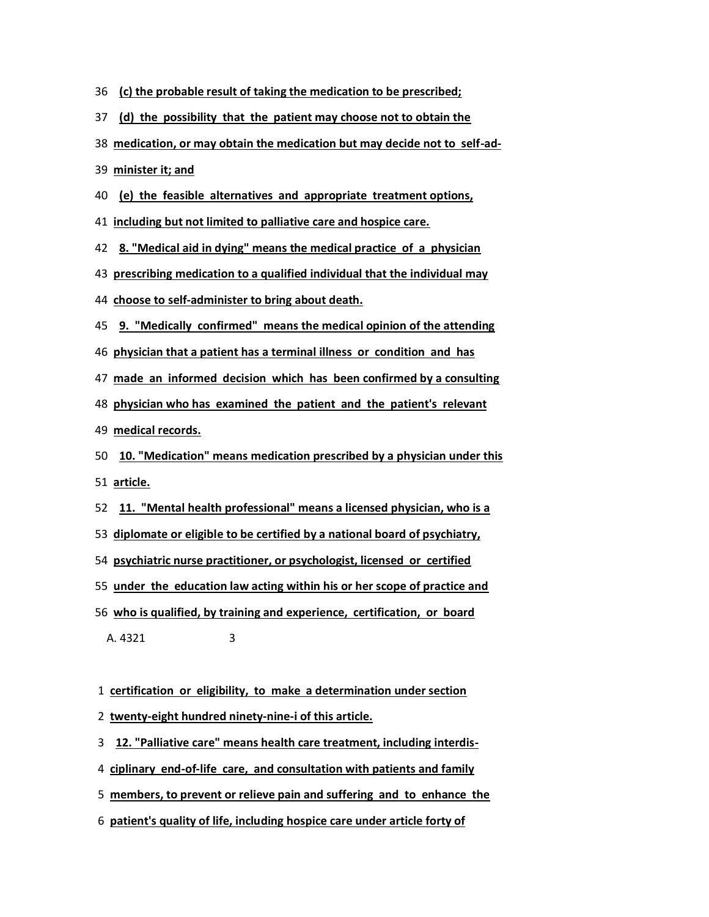- **(c) the probable result of taking the medication to be prescribed;**
- **(d) the possibility that the patient may choose not to obtain the**
- **medication, or may obtain the medication but may decide not to self-ad-**

**minister it; and**

**(e) the feasible alternatives and appropriate treatment options,**

**including but not limited to palliative care and hospice care.**

**8. "Medical aid in dying" means the medical practice of a physician**

- **prescribing medication to a qualified individual that the individual may**
- **choose to self-administer to bring about death.**
- **9. "Medically confirmed" means the medical opinion of the attending**
- **physician that a patient has a terminal illness or condition and has**
- **made an informed decision which has been confirmed by a consulting**

**physician who has examined the patient and the patient's relevant**

**medical records.**

- **10. "Medication" means medication prescribed by a physician under this article.**
- **11. "Mental health professional" means a licensed physician, who is a**
- **diplomate or eligible to be certified by a national board of psychiatry,**
- **psychiatric nurse practitioner, or psychologist, licensed or certified**

**under the education law acting within his or her scope of practice and**

- **who is qualified, by training and experience, certification, or board** A. 4321 3
- **certification or eligibility, to make a determination under section**
- **twenty-eight hundred ninety-nine-i of this article.**
- **12. "Palliative care" means health care treatment, including interdis-**
- **ciplinary end-of-life care, and consultation with patients and family**
- **members, to prevent or relieve pain and suffering and to enhance the**
- **patient's quality of life, including hospice care under article forty of**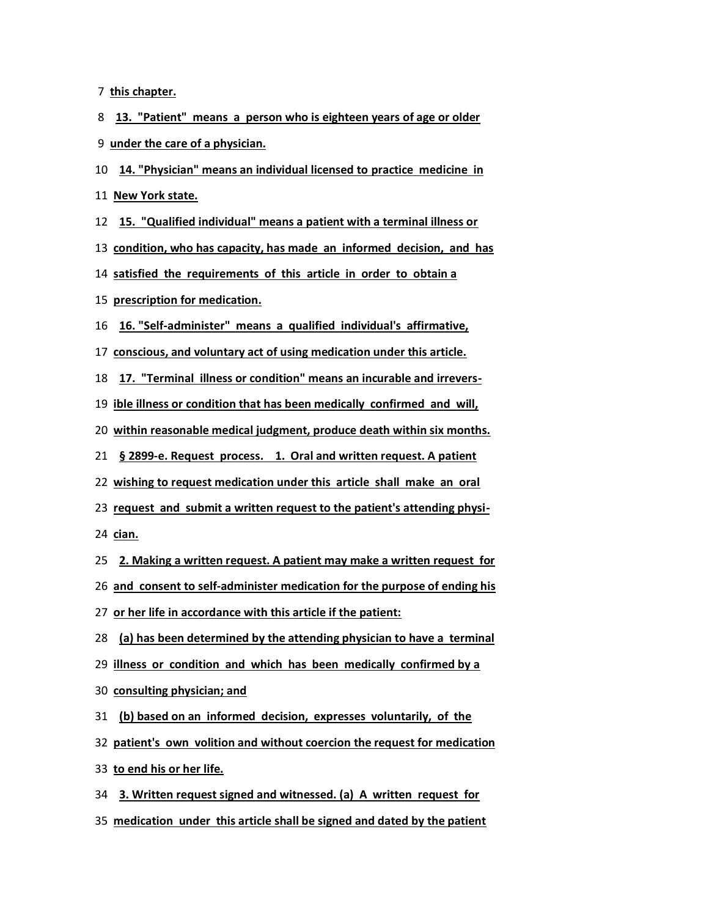**this chapter.**

**13. "Patient" means a person who is eighteen years of age or older under the care of a physician.**

**14. "Physician" means an individual licensed to practice medicine in**

**New York state.**

**15. "Qualified individual" means a patient with a terminal illness or**

**condition, who has capacity, has made an informed decision, and has**

**satisfied the requirements of this article in order to obtain a**

**prescription for medication.**

**16. "Self-administer" means a qualified individual's affirmative,**

**conscious, and voluntary act of using medication under this article.**

**17. "Terminal illness or condition" means an incurable and irrevers-**

**ible illness or condition that has been medically confirmed and will,**

**within reasonable medical judgment, produce death within six months.**

**§ 2899-e. Request process. 1. Oral and written request. A patient**

**wishing to request medication under this article shall make an oral**

**request and submit a written request to the patient's attending physi-**

**cian.**

**2. Making a written request. A patient may make a written request for**

**and consent to self-administer medication for the purpose of ending his**

**or her life in accordance with this article if the patient:**

**(a) has been determined by the attending physician to have a terminal**

**illness or condition and which has been medically confirmed by a**

**consulting physician; and**

**(b) based on an informed decision, expresses voluntarily, of the**

**patient's own volition and without coercion the request for medication**

**to end his or her life.**

**3. Written request signed and witnessed. (a) A written request for medication under this article shall be signed and dated by the patient**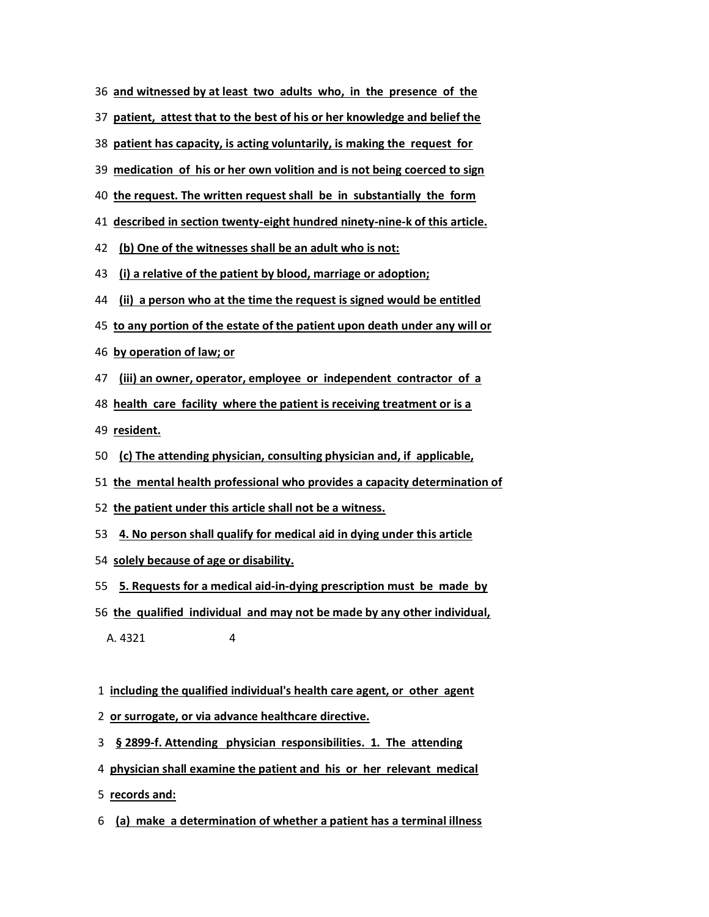- **and witnessed by at least two adults who, in the presence of the**
- **patient, attest that to the best of his or her knowledge and belief the**
- **patient has capacity, is acting voluntarily, is making the request for**
- **medication of his or her own volition and is not being coerced to sign**
- **the request. The written request shall be in substantially the form**
- **described in section twenty-eight hundred ninety-nine-k of this article.**
- **(b) One of the witnesses shall be an adult who is not:**
- **(i) a relative of the patient by blood, marriage or adoption;**
- **(ii) a person who at the time the request is signed would be entitled**
- **to any portion of the estate of the patient upon death under any will or**
- **by operation of law; or**
- **(iii) an owner, operator, employee or independent contractor of a**
- **health care facility where the patient is receiving treatment or is a**

**resident.**

- **(c) The attending physician, consulting physician and, if applicable,**
- **the mental health professional who provides a capacity determination of**
- **the patient under this article shall not be a witness.**
- **4. No person shall qualify for medical aid in dying under this article**
- **solely because of age or disability.**
- **5. Requests for a medical aid-in-dying prescription must be made by**
- **the qualified individual and may not be made by any other individual,**

A. 4321 4

- **including the qualified individual's health care agent, or other agent**
- **or surrogate, or via advance healthcare directive.**
- **§ 2899-f. Attending physician responsibilities. 1. The attending**
- **physician shall examine the patient and his or her relevant medical**
- **records and:**
- **(a) make a determination of whether a patient has a terminal illness**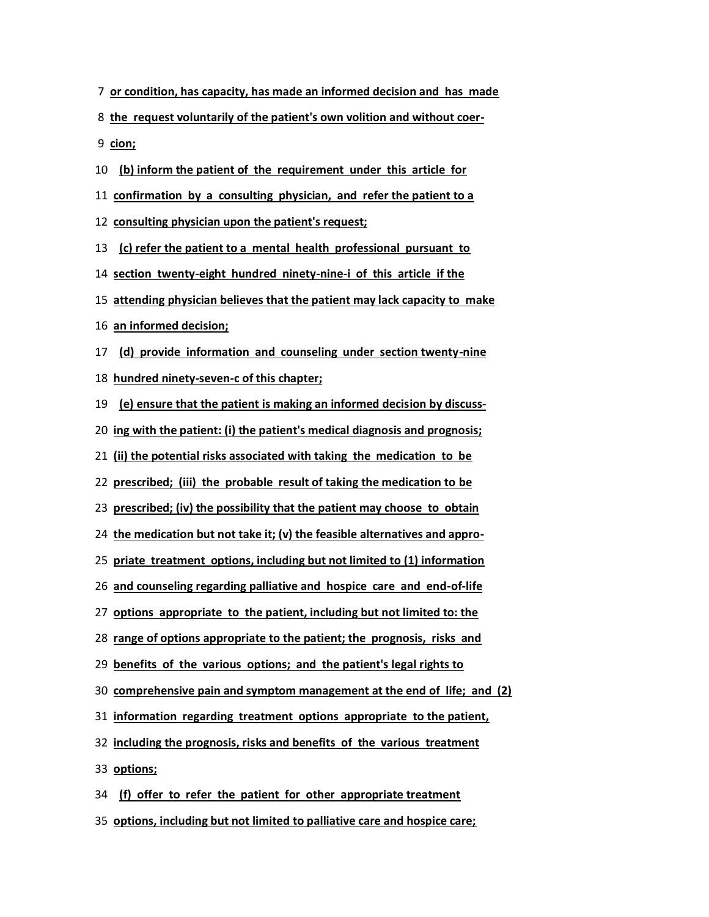- **or condition, has capacity, has made an informed decision and has made**
- **the request voluntarily of the patient's own volition and without coer-**
- **cion;**
- **(b) inform the patient of the requirement under this article for**
- **confirmation by a consulting physician, and refer the patient to a**
- **consulting physician upon the patient's request;**
- **(c) refer the patient to a mental health professional pursuant to**
- **section twenty-eight hundred ninety-nine-i of this article if the**
- **attending physician believes that the patient may lack capacity to make**
- **an informed decision;**
- **(d) provide information and counseling under section twenty-nine**
- **hundred ninety-seven-c of this chapter;**
- **(e) ensure that the patient is making an informed decision by discuss-**
- **ing with the patient: (i) the patient's medical diagnosis and prognosis;**
- **(ii) the potential risks associated with taking the medication to be**
- **prescribed; (iii) the probable result of taking the medication to be**
- **prescribed; (iv) the possibility that the patient may choose to obtain**
- **the medication but not take it; (v) the feasible alternatives and appro-**
- **priate treatment options, including but not limited to (1) information**
- **and counseling regarding palliative and hospice care and end-of-life**
- **options appropriate to the patient, including but not limited to: the**
- **range of options appropriate to the patient; the prognosis, risks and**
- **benefits of the various options; and the patient's legal rights to**
- **comprehensive pain and symptom management at the end of life; and (2)**
- **information regarding treatment options appropriate to the patient,**
- **including the prognosis, risks and benefits of the various treatment**
- **options;**
- **(f) offer to refer the patient for other appropriate treatment**
- **options, including but not limited to palliative care and hospice care;**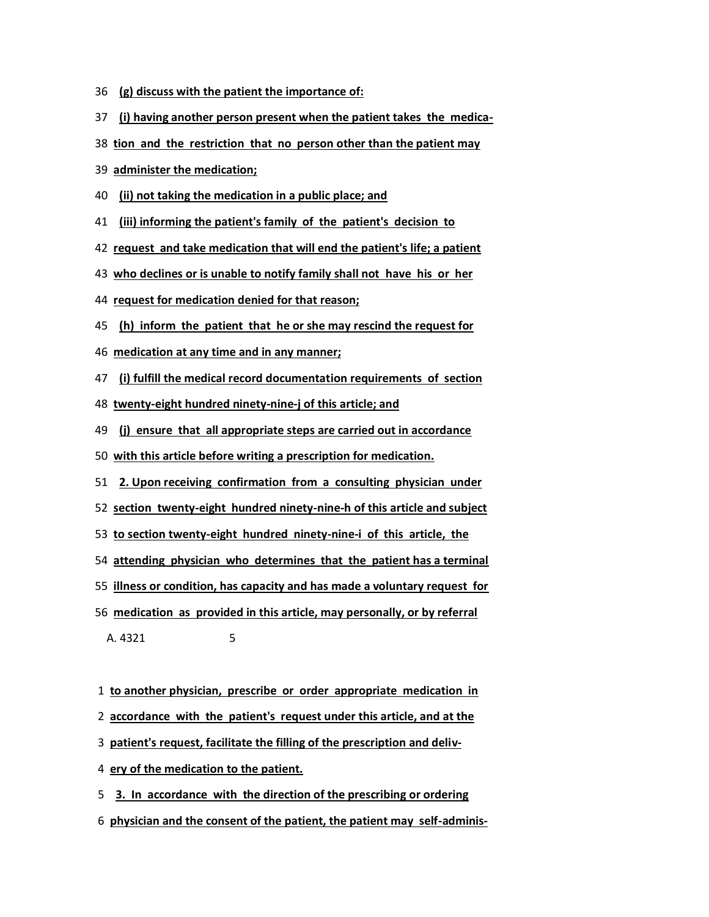- **(g) discuss with the patient the importance of:**
- **(i) having another person present when the patient takes the medica-**
- **tion and the restriction that no person other than the patient may**
- **administer the medication;**
- **(ii) not taking the medication in a public place; and**
- **(iii) informing the patient's family of the patient's decision to**
- **request and take medication that will end the patient's life; a patient**
- **who declines or is unable to notify family shall not have his or her**
- **request for medication denied for that reason;**
- **(h) inform the patient that he or she may rescind the request for**
- **medication at any time and in any manner;**
- **(i) fulfill the medical record documentation requirements of section**
- **twenty-eight hundred ninety-nine-j of this article; and**
- **(j) ensure that all appropriate steps are carried out in accordance**
- **with this article before writing a prescription for medication.**
- **2. Upon receiving confirmation from a consulting physician under**
- **section twenty-eight hundred ninety-nine-h of this article and subject**
- **to section twenty-eight hundred ninety-nine-i of this article, the**
- **attending physician who determines that the patient has a terminal**
- **illness or condition, has capacity and has made a voluntary request for**
- **medication as provided in this article, may personally, or by referral** A. 4321 5
- **to another physician, prescribe or order appropriate medication in**
- **accordance with the patient's request under this article, and at the**
- **patient's request, facilitate the filling of the prescription and deliv-**
- **ery of the medication to the patient.**
- **3. In accordance with the direction of the prescribing or ordering**
- **physician and the consent of the patient, the patient may self-adminis-**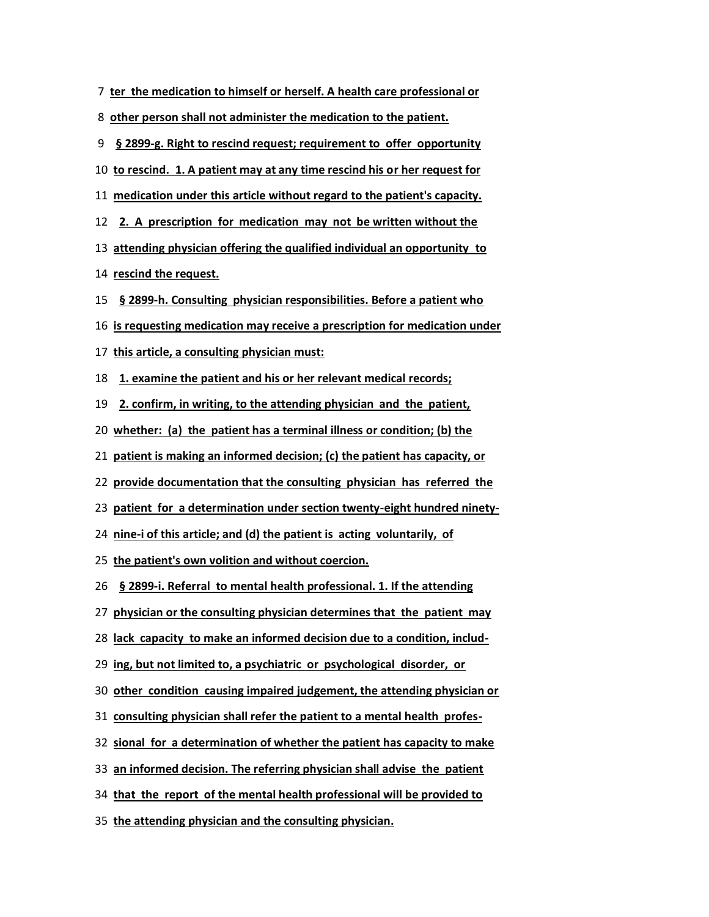| 7 ter the medication to himself or herself. A health care professional or     |
|-------------------------------------------------------------------------------|
| other person shall not administer the medication to the patient.<br>8         |
| § 2899-g. Right to rescind request; requirement to offer opportunity<br>9     |
| 10 to rescind. 1. A patient may at any time rescind his or her request for    |
| 11 medication under this article without regard to the patient's capacity.    |
| 2. A prescription for medication may not be written without the<br>12         |
| attending physician offering the qualified individual an opportunity to<br>13 |
| 14 rescind the request.                                                       |
| 15<br>§ 2899-h. Consulting physician responsibilities. Before a patient who   |
| 16 is requesting medication may receive a prescription for medication under   |
| 17 this article, a consulting physician must:                                 |
| 1. examine the patient and his or her relevant medical records;<br>18         |
| 2. confirm, in writing, to the attending physician and the patient,<br>19     |
| 20 whether: (a) the patient has a terminal illness or condition; (b) the      |
| 21 patient is making an informed decision; (c) the patient has capacity, or   |
| 22 provide documentation that the consulting physician has referred the       |
| 23 patient for a determination under section twenty-eight hundred ninety-     |
| 24 nine-i of this article; and (d) the patient is acting voluntarily, of      |
| 25 the patient's own volition and without coercion.                           |
| § 2899-i. Referral to mental health professional. 1. If the attending<br>26   |
| 27 physician or the consulting physician determines that the patient may      |
| 28 lack capacity to make an informed decision due to a condition, includ-     |
| ing, but not limited to, a psychiatric or psychological disorder, or<br>29    |
| other condition causing impaired judgement, the attending physician or<br>30  |
| 31 consulting physician shall refer the patient to a mental health profes-    |
| 32 sional for a determination of whether the patient has capacity to make     |
| an informed decision. The referring physician shall advise the patient<br>33  |
| 34 that the report of the mental health professional will be provided to      |
| 35 the attending physician and the consulting physician.                      |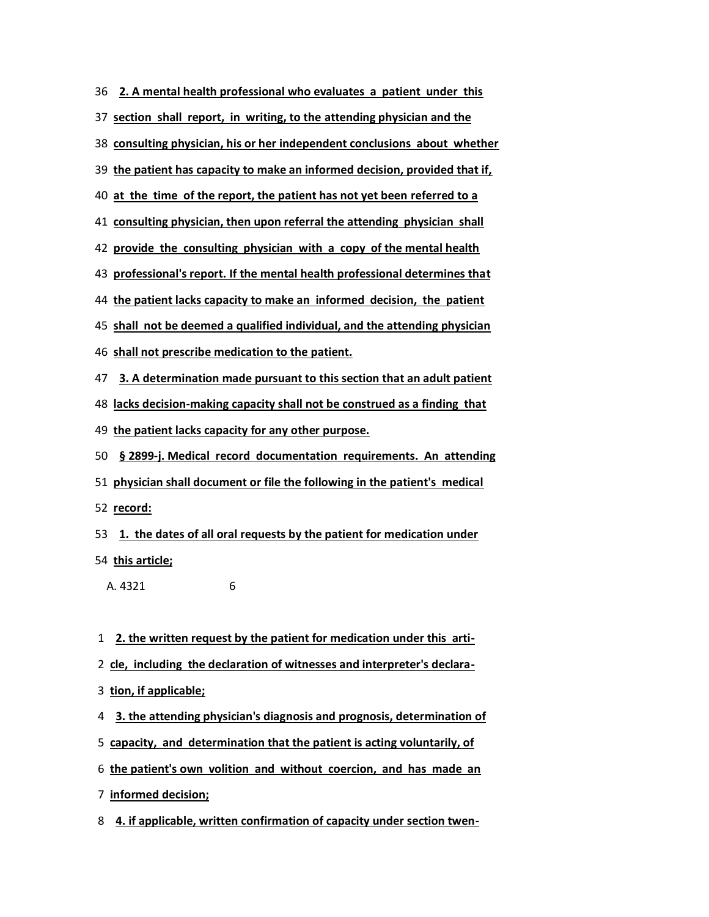**2. A mental health professional who evaluates a patient under this**

**section shall report, in writing, to the attending physician and the**

**consulting physician, his or her independent conclusions about whether**

**the patient has capacity to make an informed decision, provided that if,**

**at the time of the report, the patient has not yet been referred to a**

**consulting physician, then upon referral the attending physician shall**

**provide the consulting physician with a copy of the mental health**

**professional's report. If the mental health professional determines that**

**the patient lacks capacity to make an informed decision, the patient**

**shall not be deemed a qualified individual, and the attending physician**

**shall not prescribe medication to the patient.**

**3. A determination made pursuant to this section that an adult patient lacks decision-making capacity shall not be construed as a finding that**

**the patient lacks capacity for any other purpose.**

**§ 2899-j. Medical record documentation requirements. An attending**

**physician shall document or file the following in the patient's medical**

**record:**

**1. the dates of all oral requests by the patient for medication under**

**this article;**

A. 4321 6

**2. the written request by the patient for medication under this arti-**

- **cle, including the declaration of witnesses and interpreter's declara-**
- **tion, if applicable;**

**3. the attending physician's diagnosis and prognosis, determination of**

- **capacity, and determination that the patient is acting voluntarily, of**
- **the patient's own volition and without coercion, and has made an**
- **informed decision;**

**4. if applicable, written confirmation of capacity under section twen-**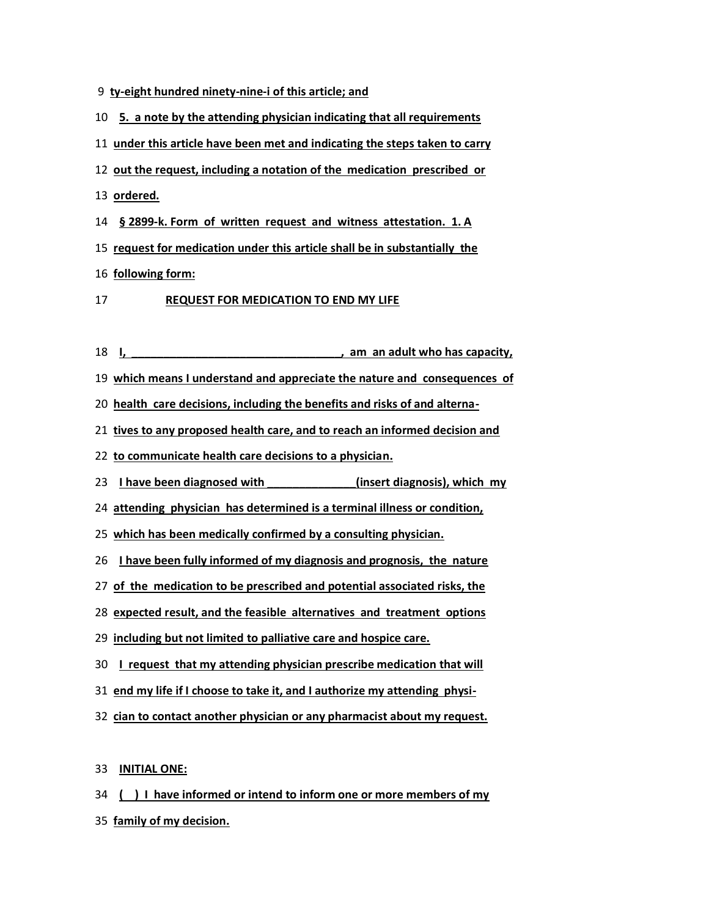- **ty-eight hundred ninety-nine-i of this article; and**
- **5. a note by the attending physician indicating that all requirements**
- **under this article have been met and indicating the steps taken to carry**
- **out the request, including a notation of the medication prescribed or**
- **ordered.**
- **§ 2899-k. Form of written request and witness attestation. 1. A**
- **request for medication under this article shall be in substantially the**
- **following form:**
- **REQUEST FOR MEDICATION TO END MY LIFE**
- **I, \_\_\_\_\_\_\_\_\_\_\_\_\_\_\_\_\_\_\_\_\_\_\_\_\_\_\_\_\_\_\_\_\_, am an adult who has capacity,**
- **which means I understand and appreciate the nature and consequences of**

**health care decisions, including the benefits and risks of and alterna-**

**tives to any proposed health care, and to reach an informed decision and**

- **to communicate health care decisions to a physician.**
- **I have been diagnosed with \_\_\_\_\_\_\_\_\_\_\_\_\_\_(insert diagnosis), which my**
- **attending physician has determined is a terminal illness or condition,**
- **which has been medically confirmed by a consulting physician.**
- **I have been fully informed of my diagnosis and prognosis, the nature**
- **of the medication to be prescribed and potential associated risks, the**
- **expected result, and the feasible alternatives and treatment options**
- **including but not limited to palliative care and hospice care.**
- **I request that my attending physician prescribe medication that will**
- **end my life if I choose to take it, and I authorize my attending physi-**
- **cian to contact another physician or any pharmacist about my request.**

## **INITIAL ONE:**

**( ) I have informed or intend to inform one or more members of my family of my decision.**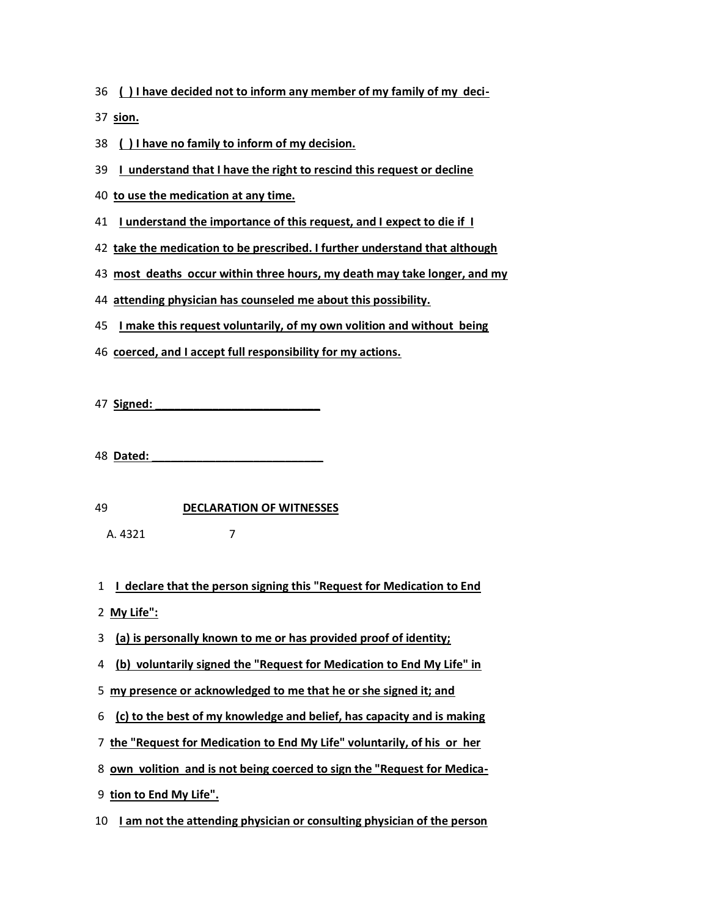**( ) I have decided not to inform any member of my family of my deci-**

**sion.**

**( ) I have no family to inform of my decision.**

**I understand that I have the right to rescind this request or decline**

- **to use the medication at any time.**
- **I understand the importance of this request, and I expect to die if I**
- **take the medication to be prescribed. I further understand that although**
- **most deaths occur within three hours, my death may take longer, and my**
- **attending physician has counseled me about this possibility.**
- **I make this request voluntarily, of my own volition and without being**
- **coerced, and I accept full responsibility for my actions.**

**Signed: \_\_\_\_\_\_\_\_\_\_\_\_\_\_\_\_\_\_\_\_\_\_\_\_\_\_**

**Dated: \_\_\_\_\_\_\_\_\_\_\_\_\_\_\_\_\_\_\_\_\_\_\_\_\_\_\_**

**DECLARATION OF WITNESSES**

A. 4321 7

- **I declare that the person signing this "Request for Medication to End**
- **My Life":**
- **(a) is personally known to me or has provided proof of identity;**
- **(b) voluntarily signed the "Request for Medication to End My Life" in**
- **my presence or acknowledged to me that he or she signed it; and**
- **(c) to the best of my knowledge and belief, has capacity and is making**
- **the "Request for Medication to End My Life" voluntarily, of his or her**
- **own volition and is not being coerced to sign the "Request for Medica-**
- **tion to End My Life".**
- **I am not the attending physician or consulting physician of the person**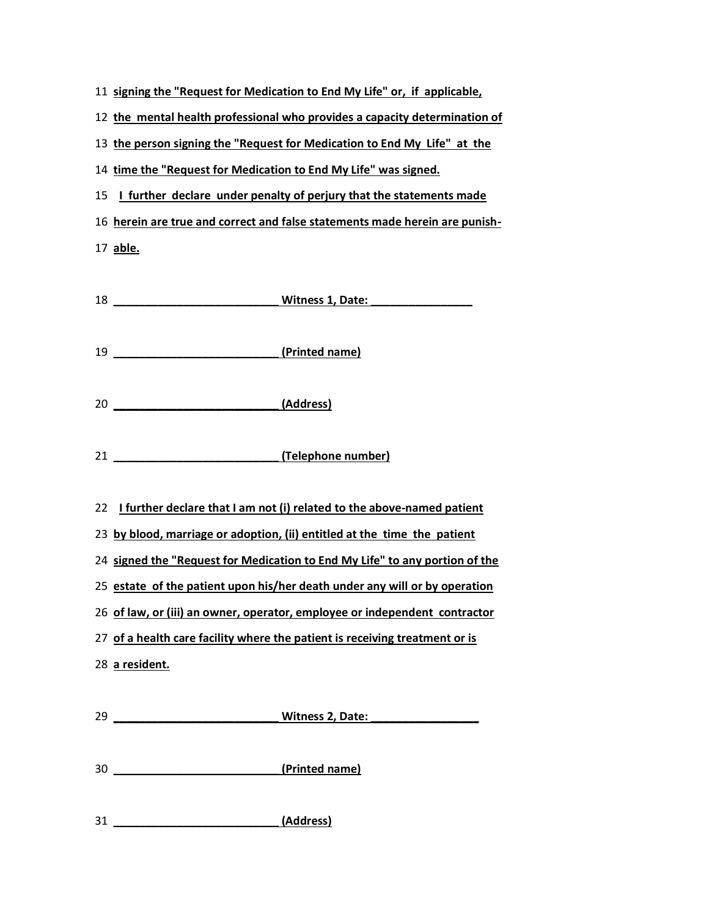| 11 signing the "Request for Medication to End My Life" or, if applicable, |
|---------------------------------------------------------------------------|
|---------------------------------------------------------------------------|

**the mental health professional who provides a capacity determination of**

**the person signing the "Request for Medication to End My Life" at the**

**time the "Request for Medication to End My Life" was signed.**

**I further declare under penalty of perjury that the statements made**

**herein are true and correct and false statements made herein are punish-**

**able.**

| 18 ________________________________Witness 1, Date: ____________________________                                                                                                                                                                                                                                                                                                                                                                                                                     |
|------------------------------------------------------------------------------------------------------------------------------------------------------------------------------------------------------------------------------------------------------------------------------------------------------------------------------------------------------------------------------------------------------------------------------------------------------------------------------------------------------|
| (Printed name)<br>19                                                                                                                                                                                                                                                                                                                                                                                                                                                                                 |
|                                                                                                                                                                                                                                                                                                                                                                                                                                                                                                      |
| 21 _______________________________(Telephone number)                                                                                                                                                                                                                                                                                                                                                                                                                                                 |
| I further declare that I am not (i) related to the above-named patient<br>22<br>23 by blood, marriage or adoption, (ii) entitled at the time the patient<br>24 signed the "Request for Medication to End My Life" to any portion of the<br>25 estate of the patient upon his/her death under any will or by operation<br>26 of law, or (iii) an owner, operator, employee or independent contractor<br>27 of a health care facility where the patient is receiving treatment or is<br>28 a resident. |
| Witness 2, Date: Microsoft Microsoft Microsoft Microsoft Microsoft Microsoft Microsoft Microsoft Microsoft Microsoft Microsoft Microsoft Microsoft Microsoft Microsoft Microsoft Microsoft Microsoft Microsoft Microsoft Micro                                                                                                                                                                                                                                                                       |
| (Printed name)<br>30                                                                                                                                                                                                                                                                                                                                                                                                                                                                                 |

**\_\_\_\_\_\_\_\_\_\_\_\_\_\_\_\_\_\_\_\_\_\_\_\_\_\_ (Address)**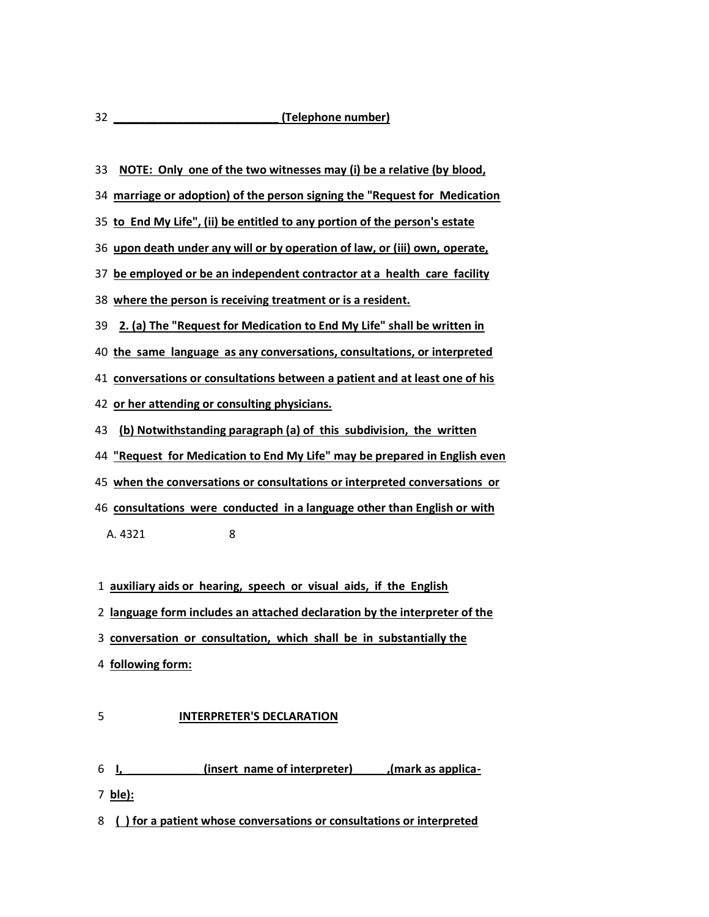**NOTE: Only one of the two witnesses may (i) be a relative (by blood,**

**marriage or adoption) of the person signing the "Request for Medication**

**to End My Life", (ii) be entitled to any portion of the person's estate**

**upon death under any will or by operation of law, or (iii) own, operate,**

**be employed or be an independent contractor at a health care facility**

**where the person is receiving treatment or is a resident.**

**2. (a) The "Request for Medication to End My Life" shall be written in**

**the same language as any conversations, consultations, or interpreted**

**conversations or consultations between a patient and at least one of his**

**or her attending or consulting physicians.**

**(b) Notwithstanding paragraph (a) of this subdivision, the written**

**"Request for Medication to End My Life" may be prepared in English even**

**when the conversations or consultations or interpreted conversations or**

**consultations were conducted in a language other than English or with**

A. 4321 8

**auxiliary aids or hearing, speech or visual aids, if the English**

**language form includes an attached declaration by the interpreter of the**

- **conversation or consultation, which shall be in substantially the**
- **following form:**

## **INTERPRETER'S DECLARATION**

- **I, \_\_\_\_\_\_\_\_\_\_\_ (insert name of interpreter)\_\_\_\_\_ ,(mark as applica-**
- **ble):**

**( ) for a patient whose conversations or consultations or interpreted**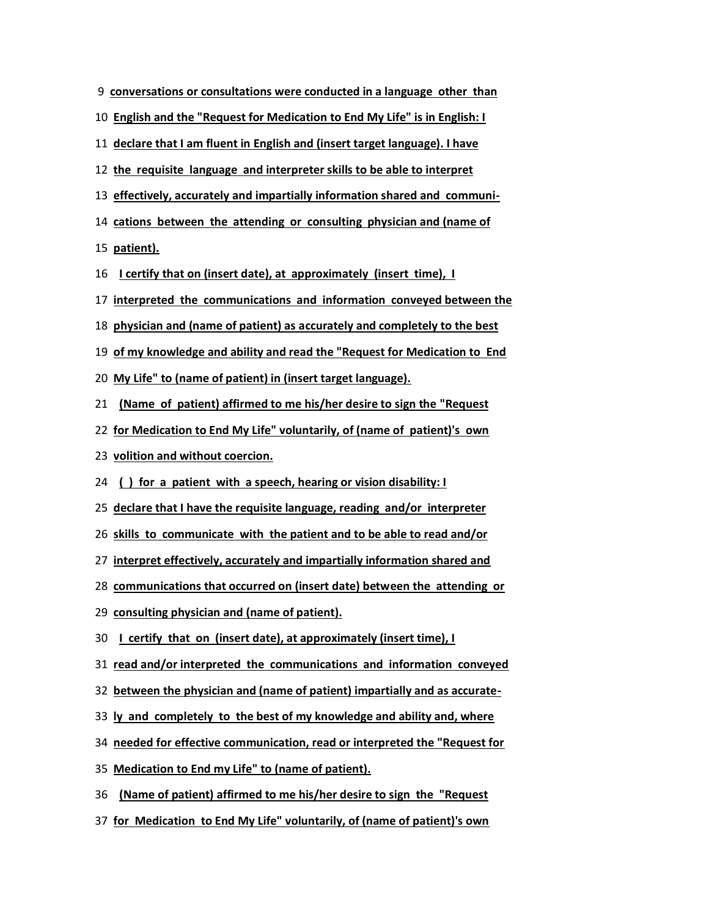| 9 conversations or consultations were conducted in a language other than |
|--------------------------------------------------------------------------|
|--------------------------------------------------------------------------|

**English and the "Request for Medication to End My Life" is in English: I**

**declare that I am fluent in English and (insert target language). I have**

**the requisite language and interpreter skills to be able to interpret**

**effectively, accurately and impartially information shared and communi-**

**cations between the attending or consulting physician and (name of**

**patient).**

**I certify that on (insert date), at approximately (insert time), I**

**interpreted the communications and information conveyed between the**

**physician and (name of patient) as accurately and completely to the best**

**of my knowledge and ability and read the "Request for Medication to End**

**My Life" to (name of patient) in (insert target language).**

**(Name of patient) affirmed to me his/her desire to sign the "Request**

**for Medication to End My Life" voluntarily, of (name of patient)'s own**

**volition and without coercion.**

**( ) for a patient with a speech, hearing or vision disability: I**

**declare that I have the requisite language, reading and/or interpreter**

**skills to communicate with the patient and to be able to read and/or**

**interpret effectively, accurately and impartially information shared and**

**communications that occurred on (insert date) between the attending or**

**consulting physician and (name of patient).**

**I certify that on (insert date), at approximately (insert time), I**

**read and/or interpreted the communications and information conveyed**

**between the physician and (name of patient) impartially and as accurate-**

**ly and completely to the best of my knowledge and ability and, where**

**needed for effective communication, read or interpreted the "Request for**

**Medication to End my Life" to (name of patient).**

**(Name of patient) affirmed to me his/her desire to sign the "Request**

**for Medication to End My Life" voluntarily, of (name of patient)'s own**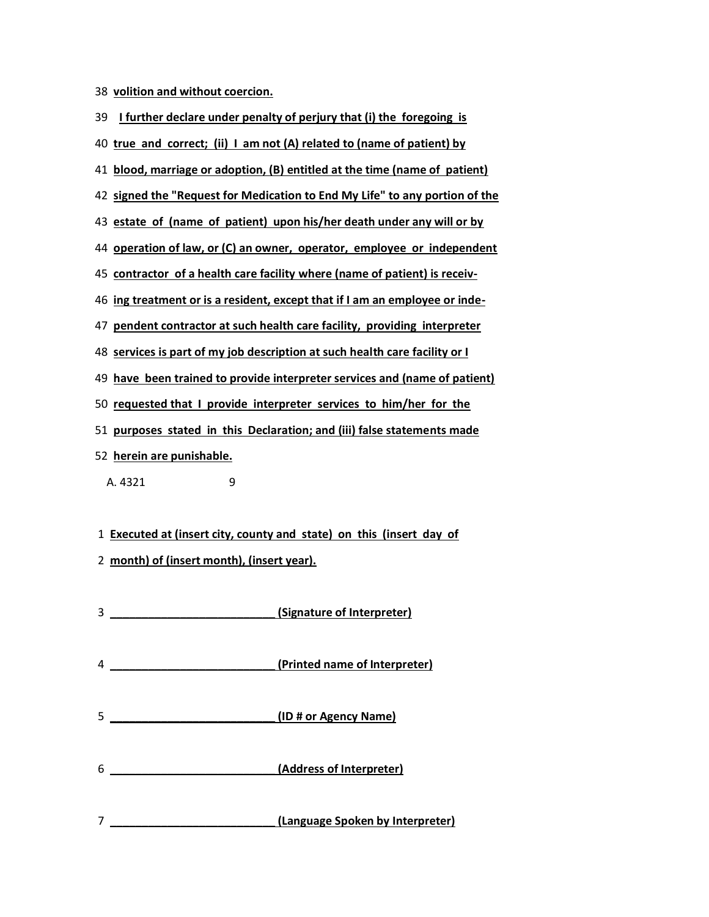**volition and without coercion.**

| I further declare under penalty of perjury that (i) the foregoing is<br>39  |
|-----------------------------------------------------------------------------|
| 40 true and correct; (ii) I am not (A) related to (name of patient) by      |
| 41 blood, marriage or adoption, (B) entitled at the time (name of patient)  |
| 42 signed the "Request for Medication to End My Life" to any portion of the |
| 43 estate of (name of patient) upon his/her death under any will or by      |
| 44 operation of law, or (C) an owner, operator, employee or independent     |
| 45 contractor of a health care facility where (name of patient) is receiv-  |
| 46 ing treatment or is a resident, except that if I am an employee or inde- |
| 47 pendent contractor at such health care facility, providing interpreter   |
| 48 services is part of my job description at such health care facility or I |
| 49 have been trained to provide interpreter services and (name of patient)  |
| 50 requested that I provide interpreter services to him/her for the         |
| 51 purposes stated in this Declaration; and (iii) false statements made     |
| 52 herein are punishable.                                                   |
| A. 4321<br>9                                                                |

**Executed at (insert city, county and state) on this (insert day of**

- **month) of (insert month), (insert year).**
- **\_\_\_\_\_\_\_\_\_\_\_\_\_\_\_\_\_\_\_\_\_\_\_\_\_\_ (Signature of Interpreter) \_\_\_\_\_\_\_\_\_\_\_\_\_\_\_\_\_\_\_\_\_\_\_\_\_\_ (Printed name of Interpreter) \_\_\_\_\_\_\_\_\_\_\_\_\_\_\_\_\_\_\_\_\_\_\_\_\_\_ (ID # or Agency Name) \_\_\_\_\_\_\_\_\_\_\_\_\_\_\_\_\_\_\_\_\_\_\_\_\_\_ (Address of Interpreter)**
- **\_\_\_\_\_\_\_\_\_\_\_\_\_\_\_\_\_\_\_\_\_\_\_\_\_\_ (Language Spoken by Interpreter)**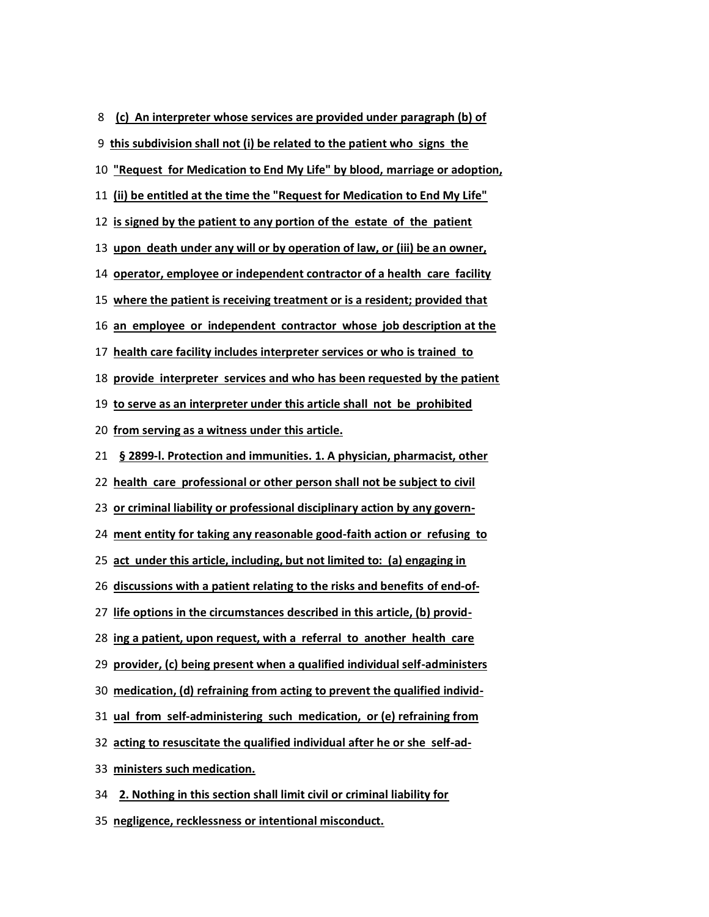**(c) An interpreter whose services are provided under paragraph (b) of**

**this subdivision shall not (i) be related to the patient who signs the**

**"Request for Medication to End My Life" by blood, marriage or adoption,**

**(ii) be entitled at the time the "Request for Medication to End My Life"**

**is signed by the patient to any portion of the estate of the patient**

**upon death under any will or by operation of law, or (iii) be an owner,**

**operator, employee or independent contractor of a health care facility**

**where the patient is receiving treatment or is a resident; provided that**

**an employee or independent contractor whose job description at the**

**health care facility includes interpreter services or who is trained to**

**provide interpreter services and who has been requested by the patient**

**to serve as an interpreter under this article shall not be prohibited**

**from serving as a witness under this article.**

**§ 2899-l. Protection and immunities. 1. A physician, pharmacist, other**

**health care professional or other person shall not be subject to civil**

**or criminal liability or professional disciplinary action by any govern-**

**ment entity for taking any reasonable good-faith action or refusing to**

**act under this article, including, but not limited to: (a) engaging in**

**discussions with a patient relating to the risks and benefits of end-of-**

**life options in the circumstances described in this article, (b) provid-**

**ing a patient, upon request, with a referral to another health care**

**provider, (c) being present when a qualified individual self-administers**

**medication, (d) refraining from acting to prevent the qualified individ-**

**ual from self-administering such medication, or (e) refraining from**

**acting to resuscitate the qualified individual after he or she self-ad-**

**ministers such medication.**

**2. Nothing in this section shall limit civil or criminal liability for**

**negligence, recklessness or intentional misconduct.**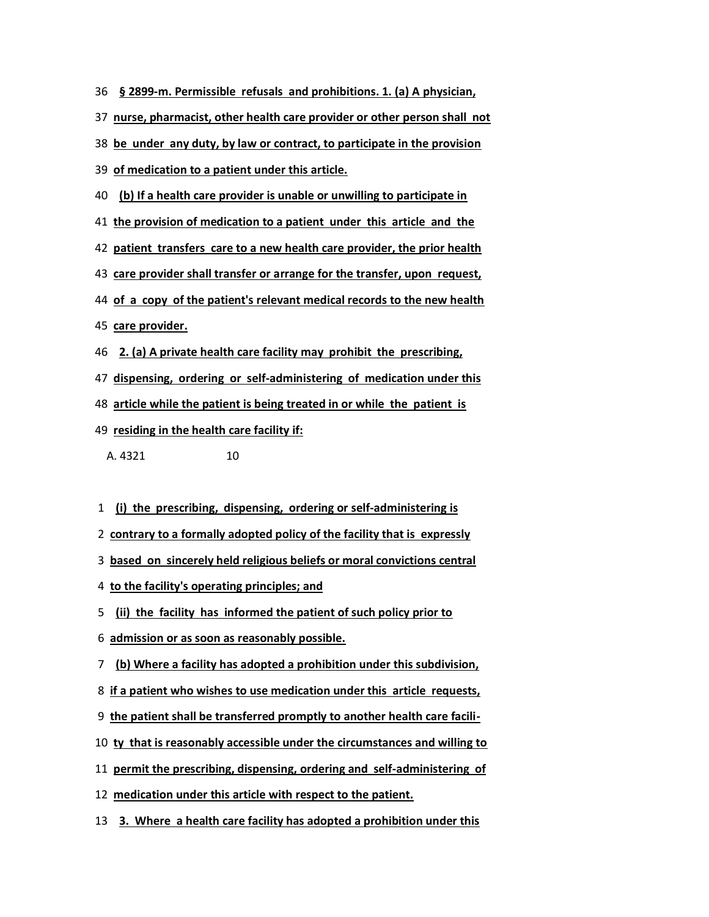- **§ 2899-m. Permissible refusals and prohibitions. 1. (a) A physician,**
- **nurse, pharmacist, other health care provider or other person shall not**
- **be under any duty, by law or contract, to participate in the provision**
- **of medication to a patient under this article.**
- **(b) If a health care provider is unable or unwilling to participate in**
- **the provision of medication to a patient under this article and the**
- **patient transfers care to a new health care provider, the prior health**
- **care provider shall transfer or arrange for the transfer, upon request,**
- **of a copy of the patient's relevant medical records to the new health**
- **care provider.**
- **2. (a) A private health care facility may prohibit the prescribing,**
- **dispensing, ordering or self-administering of medication under this**
- **article while the patient is being treated in or while the patient is**
- **residing in the health care facility if:**
	- A. 4321 10
- **(i) the prescribing, dispensing, ordering or self-administering is**
- **contrary to a formally adopted policy of the facility that is expressly**
- **based on sincerely held religious beliefs or moral convictions central**
- **to the facility's operating principles; and**
- **(ii) the facility has informed the patient of such policy prior to**
- **admission or as soon as reasonably possible.**
- **(b) Where a facility has adopted a prohibition under this subdivision,**
- **if a patient who wishes to use medication under this article requests,**
- **the patient shall be transferred promptly to another health care facili-**
- **ty that is reasonably accessible under the circumstances and willing to**
- **permit the prescribing, dispensing, ordering and self-administering of**
- **medication under this article with respect to the patient.**
- **3. Where a health care facility has adopted a prohibition under this**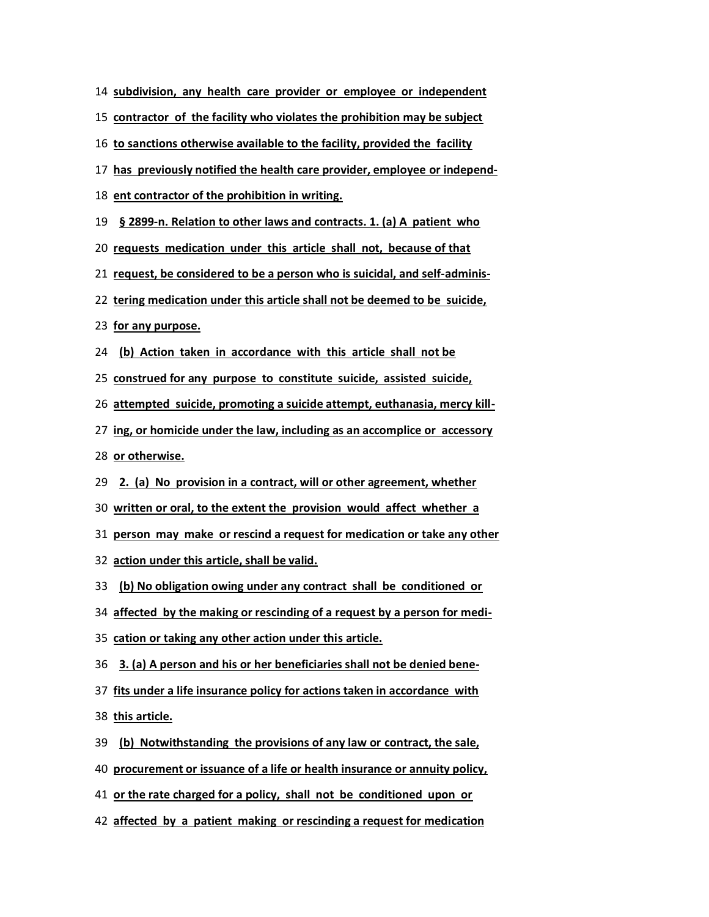- **subdivision, any health care provider or employee or independent**
- **contractor of the facility who violates the prohibition may be subject**
- **to sanctions otherwise available to the facility, provided the facility**
- **has previously notified the health care provider, employee or independ-**
- **ent contractor of the prohibition in writing.**
- **§ 2899-n. Relation to other laws and contracts. 1. (a) A patient who**
- **requests medication under this article shall not, because of that**
- **request, be considered to be a person who is suicidal, and self-adminis-**
- **tering medication under this article shall not be deemed to be suicide,**
- **for any purpose.**
- **(b) Action taken in accordance with this article shall not be**
- **construed for any purpose to constitute suicide, assisted suicide,**
- **attempted suicide, promoting a suicide attempt, euthanasia, mercy kill-**
- **ing, or homicide under the law, including as an accomplice or accessory**

**or otherwise.**

- **2. (a) No provision in a contract, will or other agreement, whether**
- **written or oral, to the extent the provision would affect whether a**
- **person may make or rescind a request for medication or take any other**
- **action under this article, shall be valid.**
- **(b) No obligation owing under any contract shall be conditioned or**
- **affected by the making or rescinding of a request by a person for medi-**
- **cation or taking any other action under this article.**
- **3. (a) A person and his or her beneficiaries shall not be denied bene-**
- **fits under a life insurance policy for actions taken in accordance with**

**this article.**

- **(b) Notwithstanding the provisions of any law or contract, the sale,**
- **procurement or issuance of a life or health insurance or annuity policy,**
- **or the rate charged for a policy, shall not be conditioned upon or**
- **affected by a patient making or rescinding a request for medication**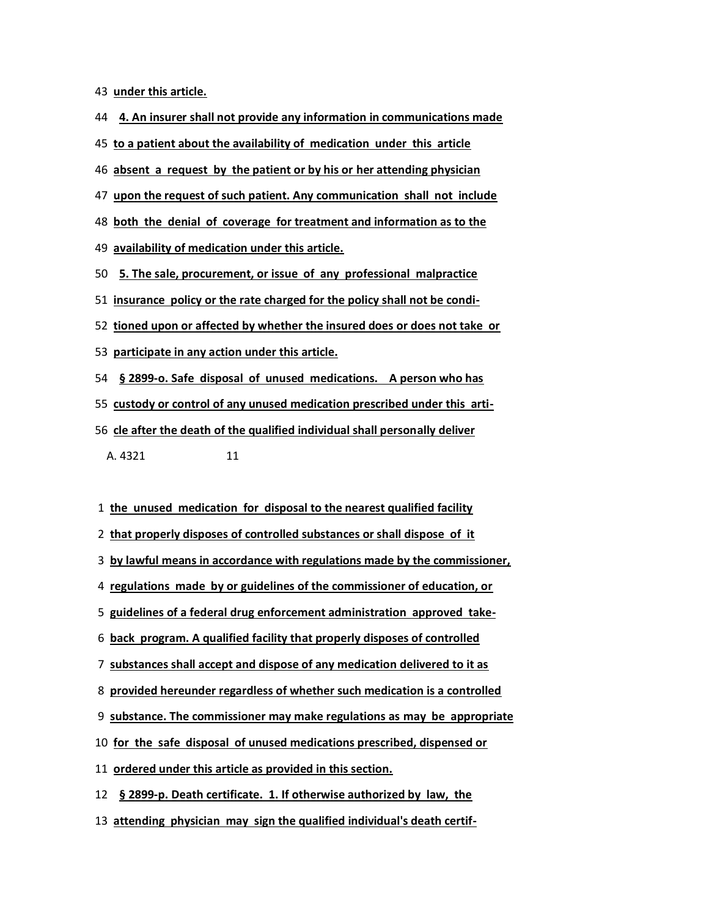**under this article.**

- **4. An insurer shall not provide any information in communications made**
- **to a patient about the availability of medication under this article**
- **absent a request by the patient or by his or her attending physician**
- **upon the request of such patient. Any communication shall not include**
- **both the denial of coverage for treatment and information as to the**
- **availability of medication under this article.**
- **5. The sale, procurement, or issue of any professional malpractice**
- **insurance policy or the rate charged for the policy shall not be condi-**
- **tioned upon or affected by whether the insured does or does not take or**
- **participate in any action under this article.**
- **§ 2899-o. Safe disposal of unused medications. A person who has**
- **custody or control of any unused medication prescribed under this arti-**
- **cle after the death of the qualified individual shall personally deliver**
	- A. 4321 11
- **the unused medication for disposal to the nearest qualified facility**
- **that properly disposes of controlled substances or shall dispose of it**
- **by lawful means in accordance with regulations made by the commissioner,**
- **regulations made by or guidelines of the commissioner of education, or**
- **guidelines of a federal drug enforcement administration approved take-**
- **back program. A qualified facility that properly disposes of controlled**
- **substances shall accept and dispose of any medication delivered to it as**
- **provided hereunder regardless of whether such medication is a controlled**
- **substance. The commissioner may make regulations as may be appropriate**
- **for the safe disposal of unused medications prescribed, dispensed or**
- **ordered under this article as provided in this section.**
- **§ 2899-p. Death certificate. 1. If otherwise authorized by law, the**
- **attending physician may sign the qualified individual's death certif-**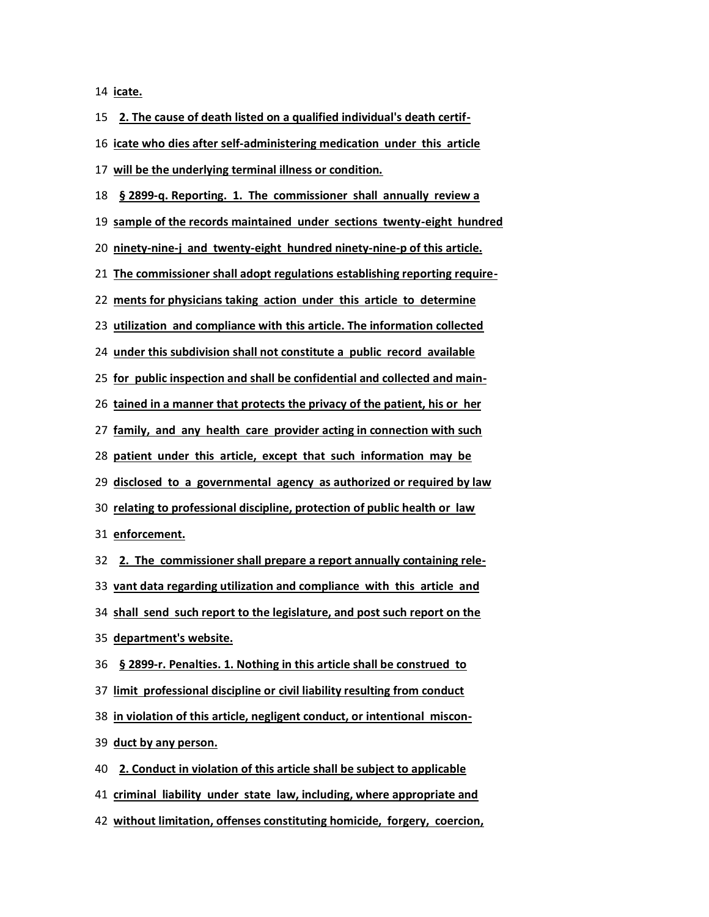**icate.**

**2. The cause of death listed on a qualified individual's death certif- icate who dies after self-administering medication under this article will be the underlying terminal illness or condition. § 2899-q. Reporting. 1. The commissioner shall annually review a sample of the records maintained under sections twenty-eight hundred ninety-nine-j and twenty-eight hundred ninety-nine-p of this article. The commissioner shall adopt regulations establishing reporting require- ments for physicians taking action under this article to determine utilization and compliance with this article. The information collected under this subdivision shall not constitute a public record available for public inspection and shall be confidential and collected and main- tained in a manner that protects the privacy of the patient, his or her family, and any health care provider acting in connection with such patient under this article, except that such information may be disclosed to a governmental agency as authorized or required by law relating to professional discipline, protection of public health or law enforcement. 2. The commissioner shall prepare a report annually containing rele- vant data regarding utilization and compliance with this article and shall send such report to the legislature, and post such report on the department's website. § 2899-r. Penalties. 1. Nothing in this article shall be construed to limit professional discipline or civil liability resulting from conduct in violation of this article, negligent conduct, or intentional miscon- duct by any person. 2. Conduct in violation of this article shall be subject to applicable criminal liability under state law, including, where appropriate and without limitation, offenses constituting homicide, forgery, coercion,**